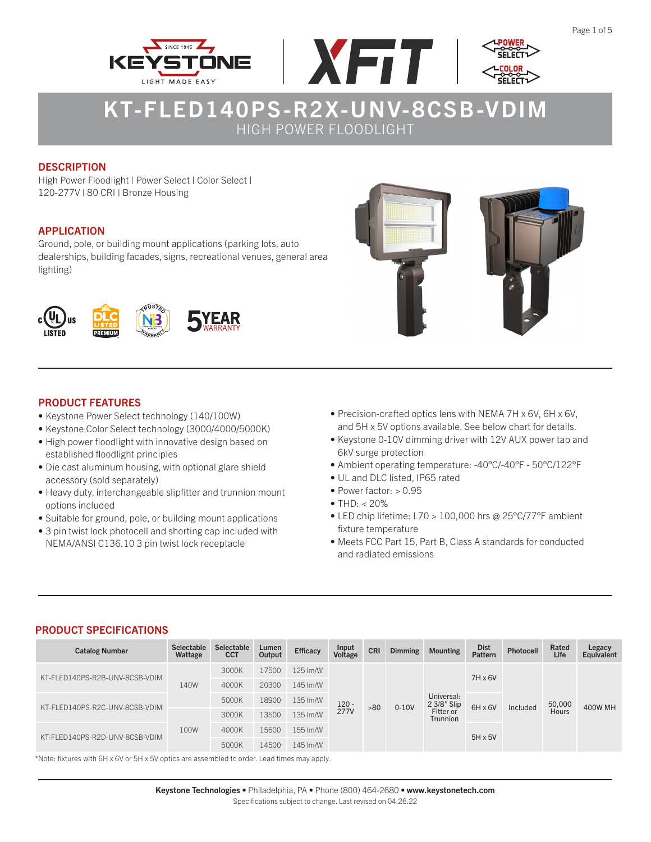





### **DESCRIPTION**

High Power Floodlight | Power Select | Color Select | 120-277V | 80 CRI | Bronze Housing

### APPLICATION

Ground, pole, or building mount applications (parking lots, auto dealerships, building facades, signs, recreational venues, general area lighting)





### PRODUCT FEATURES

- Keystone Power Select technology (140/100W)
- Keystone Color Select technology (3000/4000/5000K)
- High power floodlight with innovative design based on established floodlight principles
- Die cast aluminum housing, with optional glare shield accessory (sold separately)
- Heavy duty, interchangeable slipfitter and trunnion mount options included
- Suitable for ground, pole, or building mount applications
- 3 pin twist lock photocell and shorting cap included with NEMA/ANSI C136.10 3 pin twist lock receptacle
- Precision-crafted optics lens with NEMA 7H x 6V, 6H x 6V, and 5H x 5V options available. See below chart for details.
- Keystone 0-10V dimming driver with 12V AUX power tap and 6kV surge protection
- Ambient operating temperature: -40°C/-40°F 50°C/122°F
- UL and DLC listed, IP65 rated
- Power factor: > 0.95
- $\bullet$  THD:  $<$  20%
- LED chip lifetime: L70 > 100,000 hrs @ 25°C/77°F ambient fixture temperature
- Meets FCC Part 15, Part B, Class A standards for conducted and radiated emissions

#### PRODUCT SPECIFICATIONS

| <b>Catalog Number</b>          | <b>Selectable</b><br>Wattage | Selectable<br>CCT | Lumen<br>Output | <b>Efficacy</b> | Input<br>Voltage       | <b>CRI</b> | <b>Dimming</b> | <b>Mounting</b>                                    | <b>Dist</b><br><b>Pattern</b> | Photocell      | Rated<br>Life   | Legacy<br>Equivalent |  |
|--------------------------------|------------------------------|-------------------|-----------------|-----------------|------------------------|------------|----------------|----------------------------------------------------|-------------------------------|----------------|-----------------|----------------------|--|
| KT-FLED140PS-R2B-UNV-8CSB-VDIM | 140W                         | 3000K             | 17500           | 125 lm/W        | $120 -$<br><b>277V</b> | >80        | $0-10V$        | Universal:<br>2 3/8" Slip<br>Fitter or<br>Trunnion | $7H \times 6V$                | Included       | 50,000<br>Hours | <b>400W MH</b>       |  |
|                                |                              | 4000K             | 20300           | 145 Im/W        |                        |            |                |                                                    |                               |                |                 |                      |  |
| KT-FLED140PS-R2C-UNV-8CSB-VDIM |                              | 5000K             | 18900           | 135 Im/W        |                        |            |                |                                                    | $6H \times 6V$                |                |                 |                      |  |
|                                | 100W                         | 3000K             | 13500           | 135 Im/W        |                        |            |                |                                                    |                               |                |                 |                      |  |
| KT-FLED140PS-R2D-UNV-8CSB-VDIM |                              | 4000K             | 15500           | 155 lm/W        |                        |            |                |                                                    |                               | $5H \times 5V$ |                 |                      |  |
|                                |                              | 5000K             | 14500           | 145 lm/W        |                        |            |                |                                                    |                               |                |                 |                      |  |

\*Note: fixtures with 6H x 6V or 5H x 5V optics are assembled to order. Lead times may apply.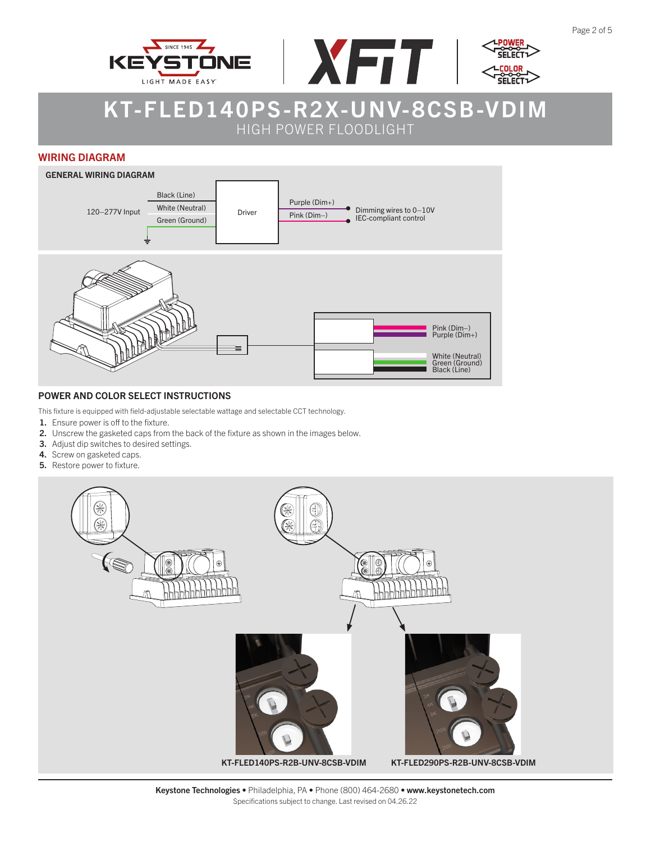





#### WIRING DIAGRAM



#### POWER AND COLOR SELECT INSTRUCTIONS

This fixture is equipped with field-adjustable selectable wattage and selectable CCT technology.

- 1. Ensure power is off to the fixture.
- 2. Unscrew the gasketed caps from the back of the fixture as shown in the images below.
- 3. Adjust dip switches to desired settings.
- 4. Screw on gasketed caps.
- 5. Restore power to fixture.



Keystone Technologies • Philadelphia, PA • Phone (800) 464-2680 • www.keystonetech.com Specifications subject to change. Last revised on 04.26.22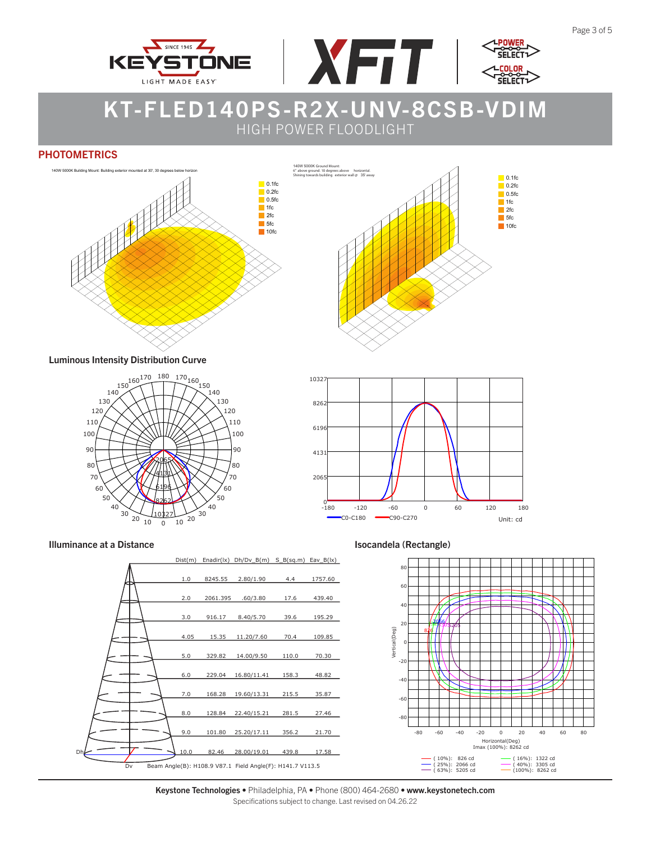





140W 5000K Ground Mount:

#### **PHOTOMETRICS**



 $\Box$  0.1fc  $\overline{\phantom{a}}$  0.2fc  $\overline{\phantom{a}}$  0.5fc 1fc 2fc 5fc  $10fc$ 6" above ground. 10 degrees above horizontal. Shining towards building exterior wall @ 35' away

Luminous Intensity Distribution Curve





#### Illuminance at a Distance **Isocandela (Rectangle)** and Isocandela (Rectangle)





Keystone Technologies • Philadelphia, PA • Phone (800) 464-2680 • www.keystonetech.com Specifications subject to change. Last revised on 04.26.22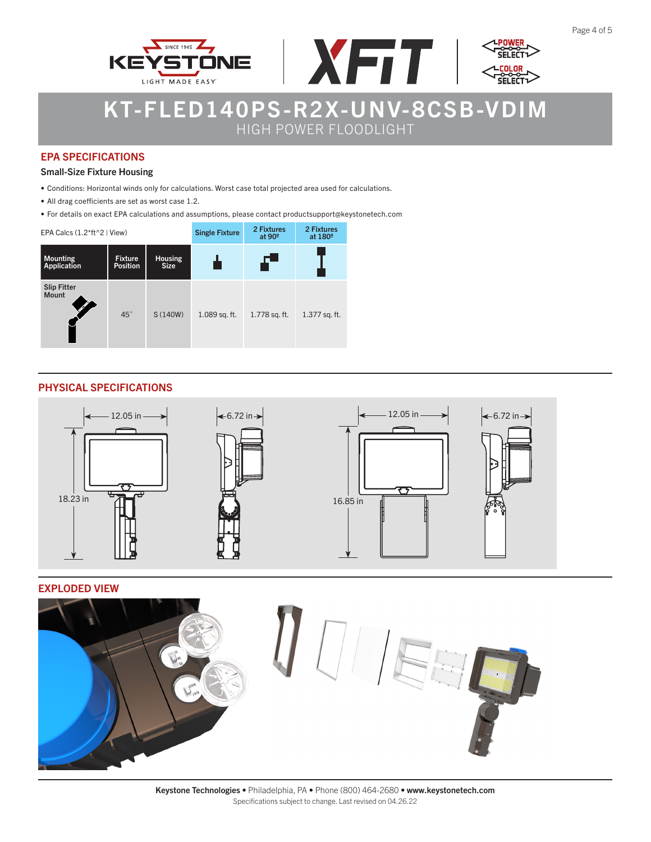





### EPA SPECIFICATIONS

#### Small-Size Fixture Housing

- Conditions: Horizontal winds only for calculations. Worst case total projected area used for calculations.
- All drag coefficients are set as worst case 1.2.
- For details on exact EPA calculations and assumptions, please contact productsupport@keystonetech.com

| EPA Calcs $(1.2*ft^2)$ View)   |                                   |                               | <b>Single Fixture</b> | 2 Fixtures<br>at $90^\circ$ | 2 Fixtures<br>at 180 <sup>°</sup> |
|--------------------------------|-----------------------------------|-------------------------------|-----------------------|-----------------------------|-----------------------------------|
| <b>Mounting</b><br>Application | <b>Fixture</b><br><b>Position</b> | <b>Housing</b><br><b>Size</b> |                       | F                           |                                   |
| Slip Fitter<br>Mount           | $45^\circ$                        | S (140W)                      | 1.089 sq. ft.         | 1.778 sq. ft.               | 1.377 sq. ft.                     |

### PHYSICAL SPECIFICATIONS



#### EXPLODED VIEW